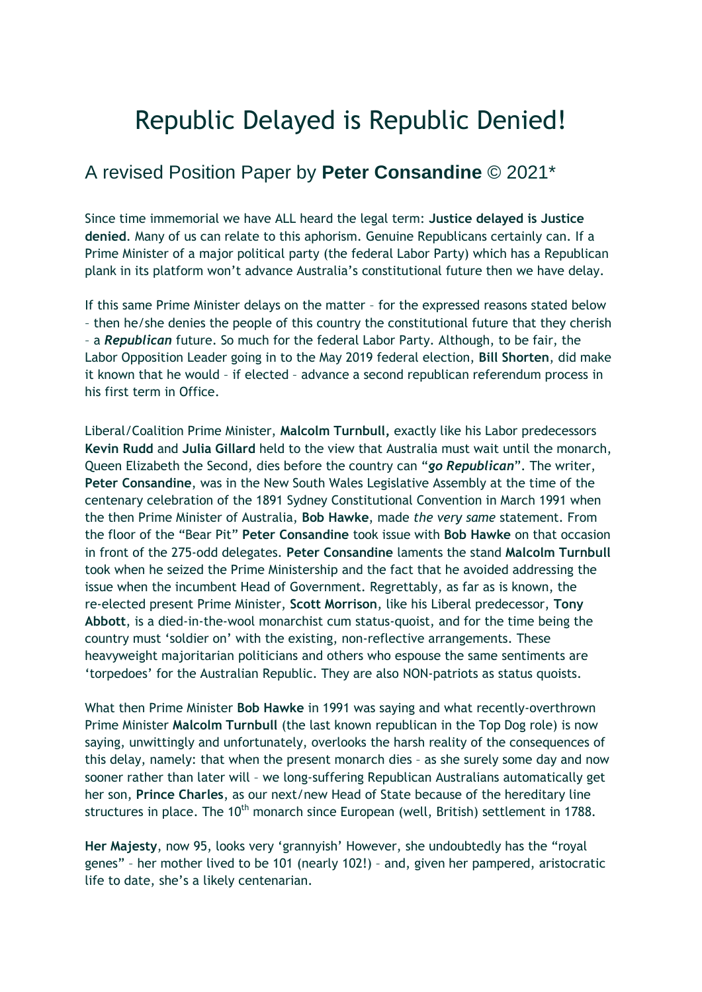# Republic Delayed is Republic Denied!

# A revised Position Paper by **Peter Consandine** © 2021\*

Since time immemorial we have ALL heard the legal term: **Justice delayed is Justice denied**. Many of us can relate to this aphorism. Genuine Republicans certainly can. If a Prime Minister of a major political party (the federal Labor Party) which has a Republican plank in its platform won't advance Australia's constitutional future then we have delay.

If this same Prime Minister delays on the matter – for the expressed reasons stated below – then he/she denies the people of this country the constitutional future that they cherish – a *Republican* future. So much for the federal Labor Party. Although, to be fair, the Labor Opposition Leader going in to the May 2019 federal election, **Bill Shorten**, did make it known that he would – if elected – advance a second republican referendum process in his first term in Office.

Liberal/Coalition Prime Minister, **Malcolm Turnbull,** exactly like his Labor predecessors **Kevin Rudd** and **Julia Gillard** held to the view that Australia must wait until the monarch, Queen Elizabeth the Second, dies before the country can "*go Republican*". The writer, **Peter Consandine**, was in the New South Wales Legislative Assembly at the time of the centenary celebration of the 1891 Sydney Constitutional Convention in March 1991 when the then Prime Minister of Australia, **Bob Hawke**, made *the very same* statement. From the floor of the "Bear Pit" **Peter Consandine** took issue with **Bob Hawke** on that occasion in front of the 275-odd delegates. **Peter Consandine** laments the stand **Malcolm Turnbull** took when he seized the Prime Ministership and the fact that he avoided addressing the issue when the incumbent Head of Government. Regrettably, as far as is known, the re-elected present Prime Minister, **Scott Morrison**, like his Liberal predecessor, **Tony Abbott**, is a died-in-the-wool monarchist cum status-quoist, and for the time being the country must 'soldier on' with the existing, non-reflective arrangements. These heavyweight majoritarian politicians and others who espouse the same sentiments are 'torpedoes' for the Australian Republic. They are also NON-patriots as status quoists.

What then Prime Minister **Bob Hawke** in 1991 was saying and what recently-overthrown Prime Minister **Malcolm Turnbull** (the last known republican in the Top Dog role) is now saying, unwittingly and unfortunately, overlooks the harsh reality of the consequences of this delay, namely: that when the present monarch dies – as she surely some day and now sooner rather than later will – we long-suffering Republican Australians automatically get her son, **Prince Charles**, as our next/new Head of State because of the hereditary line structures in place. The 10<sup>th</sup> monarch since European (well, British) settlement in 1788.

**Her Majesty**, now 95, looks very 'grannyish' However, she undoubtedly has the "royal genes" – her mother lived to be 101 (nearly 102!) – and, given her pampered, aristocratic life to date, she's a likely centenarian.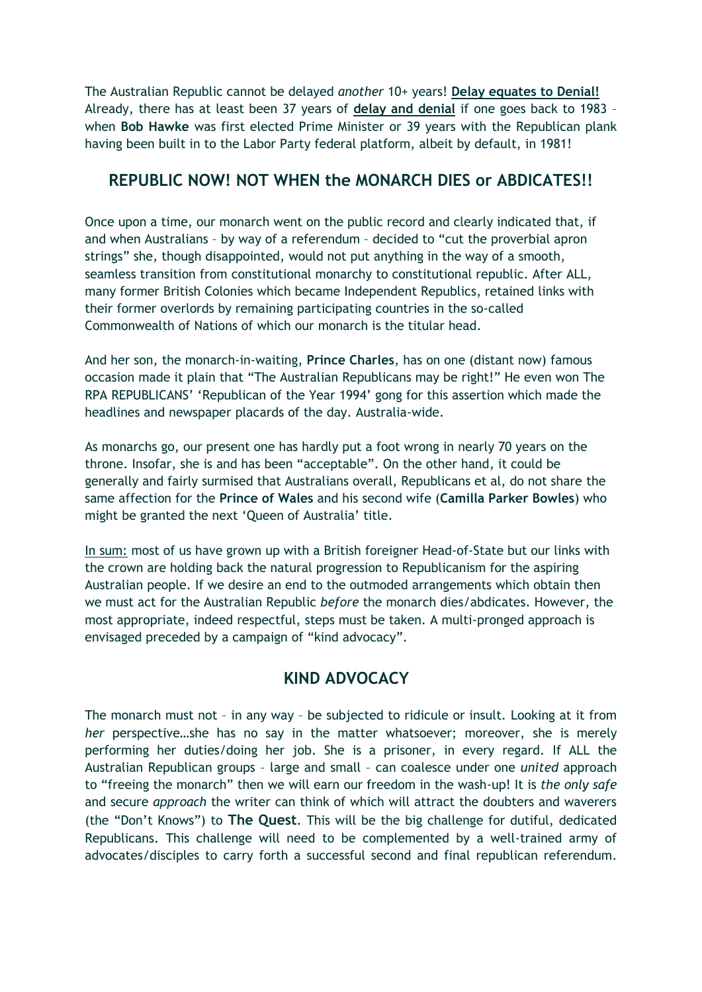The Australian Republic cannot be delayed *another* 10+ years! **Delay equates to Denial!** Already, there has at least been 37 years of **delay and denial** if one goes back to 1983 – when **Bob Hawke** was first elected Prime Minister or 39 years with the Republican plank having been built in to the Labor Party federal platform, albeit by default, in 1981!

#### **REPUBLIC NOW! NOT WHEN the MONARCH DIES or ABDICATES!!**

Once upon a time, our monarch went on the public record and clearly indicated that, if and when Australians – by way of a referendum – decided to "cut the proverbial apron strings" she, though disappointed, would not put anything in the way of a smooth, seamless transition from constitutional monarchy to constitutional republic. After ALL, many former British Colonies which became Independent Republics, retained links with their former overlords by remaining participating countries in the so-called Commonwealth of Nations of which our monarch is the titular head.

And her son, the monarch-in-waiting, **Prince Charles**, has on one (distant now) famous occasion made it plain that "The Australian Republicans may be right!" He even won The RPA REPUBLICANS' 'Republican of the Year 1994' gong for this assertion which made the headlines and newspaper placards of the day. Australia-wide.

As monarchs go, our present one has hardly put a foot wrong in nearly 70 years on the throne. Insofar, she is and has been "acceptable". On the other hand, it could be generally and fairly surmised that Australians overall, Republicans et al, do not share the same affection for the **Prince of Wales** and his second wife (**Camilla Parker Bowles**) who might be granted the next 'Queen of Australia' title.

In sum: most of us have grown up with a British foreigner Head-of-State but our links with the crown are holding back the natural progression to Republicanism for the aspiring Australian people. If we desire an end to the outmoded arrangements which obtain then we must act for the Australian Republic *before* the monarch dies/abdicates. However, the most appropriate, indeed respectful, steps must be taken. A multi-pronged approach is envisaged preceded by a campaign of "kind advocacy".

### **KIND ADVOCACY**

The monarch must not – in any way – be subjected to ridicule or insult. Looking at it from *her* perspective…she has no say in the matter whatsoever; moreover, she is merely performing her duties/doing her job. She is a prisoner, in every regard. If ALL the Australian Republican groups – large and small – can coalesce under one *united* approach to "freeing the monarch" then we will earn our freedom in the wash-up! It is *the only safe* and secure *approach* the writer can think of which will attract the doubters and waverers (the "Don't Knows") to **The Quest**. This will be the big challenge for dutiful, dedicated Republicans. This challenge will need to be complemented by a well-trained army of advocates/disciples to carry forth a successful second and final republican referendum.